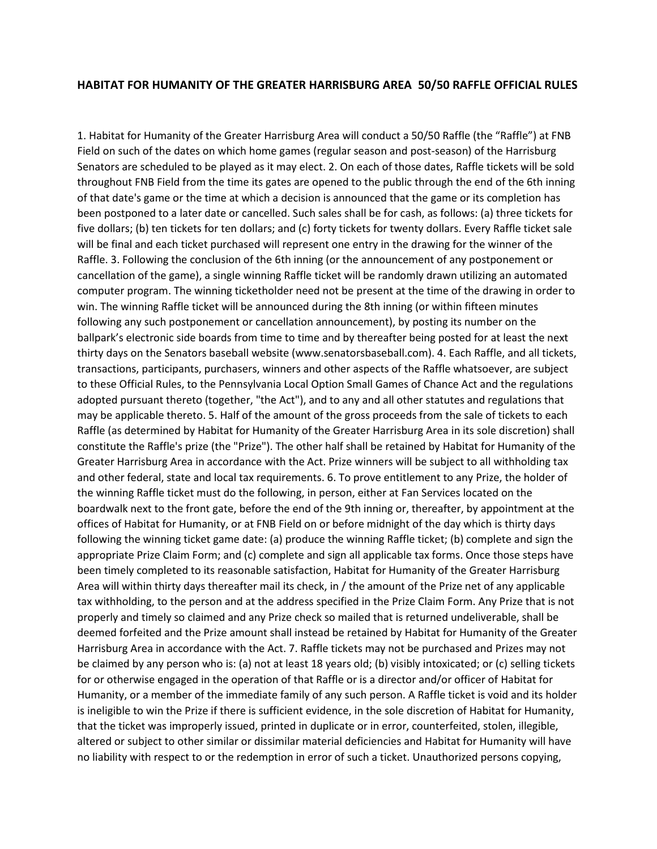## **HABITAT FOR HUMANITY OF THE GREATER HARRISBURG AREA 50/50 RAFFLE OFFICIAL RULES**

1. Habitat for Humanity of the Greater Harrisburg Area will conduct a 50/50 Raffle (the "Raffle") at FNB Field on such of the dates on which home games (regular season and post-season) of the Harrisburg Senators are scheduled to be played as it may elect. 2. On each of those dates, Raffle tickets will be sold throughout FNB Field from the time its gates are opened to the public through the end of the 6th inning of that date's game or the time at which a decision is announced that the game or its completion has been postponed to a later date or cancelled. Such sales shall be for cash, as follows: (a) three tickets for five dollars; (b) ten tickets for ten dollars; and (c) forty tickets for twenty dollars. Every Raffle ticket sale will be final and each ticket purchased will represent one entry in the drawing for the winner of the Raffle. 3. Following the conclusion of the 6th inning (or the announcement of any postponement or cancellation of the game), a single winning Raffle ticket will be randomly drawn utilizing an automated computer program. The winning ticketholder need not be present at the time of the drawing in order to win. The winning Raffle ticket will be announced during the 8th inning (or within fifteen minutes following any such postponement or cancellation announcement), by posting its number on the ballpark's electronic side boards from time to time and by thereafter being posted for at least the next thirty days on the Senators baseball website (www.senatorsbaseball.com). 4. Each Raffle, and all tickets, transactions, participants, purchasers, winners and other aspects of the Raffle whatsoever, are subject to these Official Rules, to the Pennsylvania Local Option Small Games of Chance Act and the regulations adopted pursuant thereto (together, "the Act"), and to any and all other statutes and regulations that may be applicable thereto. 5. Half of the amount of the gross proceeds from the sale of tickets to each Raffle (as determined by Habitat for Humanity of the Greater Harrisburg Area in its sole discretion) shall constitute the Raffle's prize (the "Prize"). The other half shall be retained by Habitat for Humanity of the Greater Harrisburg Area in accordance with the Act. Prize winners will be subject to all withholding tax and other federal, state and local tax requirements. 6. To prove entitlement to any Prize, the holder of the winning Raffle ticket must do the following, in person, either at Fan Services located on the boardwalk next to the front gate, before the end of the 9th inning or, thereafter, by appointment at the offices of Habitat for Humanity, or at FNB Field on or before midnight of the day which is thirty days following the winning ticket game date: (a) produce the winning Raffle ticket; (b) complete and sign the appropriate Prize Claim Form; and (c) complete and sign all applicable tax forms. Once those steps have been timely completed to its reasonable satisfaction, Habitat for Humanity of the Greater Harrisburg Area will within thirty days thereafter mail its check, in / the amount of the Prize net of any applicable tax withholding, to the person and at the address specified in the Prize Claim Form. Any Prize that is not properly and timely so claimed and any Prize check so mailed that is returned undeliverable, shall be deemed forfeited and the Prize amount shall instead be retained by Habitat for Humanity of the Greater Harrisburg Area in accordance with the Act. 7. Raffle tickets may not be purchased and Prizes may not be claimed by any person who is: (a) not at least 18 years old; (b) visibly intoxicated; or (c) selling tickets for or otherwise engaged in the operation of that Raffle or is a director and/or officer of Habitat for Humanity, or a member of the immediate family of any such person. A Raffle ticket is void and its holder is ineligible to win the Prize if there is sufficient evidence, in the sole discretion of Habitat for Humanity, that the ticket was improperly issued, printed in duplicate or in error, counterfeited, stolen, illegible, altered or subject to other similar or dissimilar material deficiencies and Habitat for Humanity will have no liability with respect to or the redemption in error of such a ticket. Unauthorized persons copying,